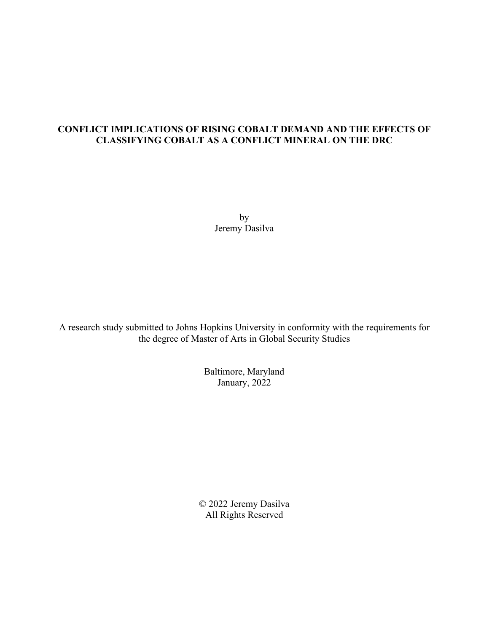### **CONFLICT IMPLICATIONS OF RISING COBALT DEMAND AND THE EFFECTS OF CLASSIFYING COBALT AS A CONFLICT MINERAL ON THE DRC**

by Jeremy Dasilva

A research study submitted to Johns Hopkins University in conformity with the requirements for the degree of Master of Arts in Global Security Studies

> Baltimore, Maryland January, 2022

© 2022 Jeremy Dasilva All Rights Reserved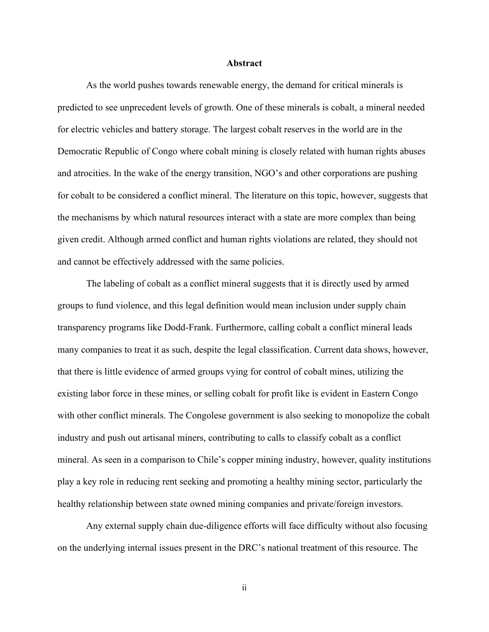#### **Abstract**

As the world pushes towards renewable energy, the demand for critical minerals is predicted to see unprecedent levels of growth. One of these minerals is cobalt, a mineral needed for electric vehicles and battery storage. The largest cobalt reserves in the world are in the Democratic Republic of Congo where cobalt mining is closely related with human rights abuses and atrocities. In the wake of the energy transition, NGO's and other corporations are pushing for cobalt to be considered a conflict mineral. The literature on this topic, however, suggests that the mechanisms by which natural resources interact with a state are more complex than being given credit. Although armed conflict and human rights violations are related, they should not and cannot be effectively addressed with the same policies.

The labeling of cobalt as a conflict mineral suggests that it is directly used by armed groups to fund violence, and this legal definition would mean inclusion under supply chain transparency programs like Dodd-Frank. Furthermore, calling cobalt a conflict mineral leads many companies to treat it as such, despite the legal classification. Current data shows, however, that there is little evidence of armed groups vying for control of cobalt mines, utilizing the existing labor force in these mines, or selling cobalt for profit like is evident in Eastern Congo with other conflict minerals. The Congolese government is also seeking to monopolize the cobalt industry and push out artisanal miners, contributing to calls to classify cobalt as a conflict mineral. As seen in a comparison to Chile's copper mining industry, however, quality institutions play a key role in reducing rent seeking and promoting a healthy mining sector, particularly the healthy relationship between state owned mining companies and private/foreign investors.

Any external supply chain due-diligence efforts will face difficulty without also focusing on the underlying internal issues present in the DRC's national treatment of this resource. The

ii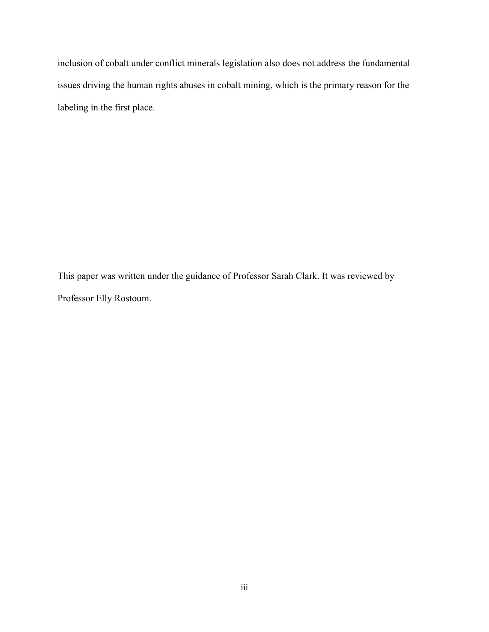inclusion of cobalt under conflict minerals legislation also does not address the fundamental issues driving the human rights abuses in cobalt mining, which is the primary reason for the labeling in the first place.

This paper was written under the guidance of Professor Sarah Clark. It was reviewed by Professor Elly Rostoum.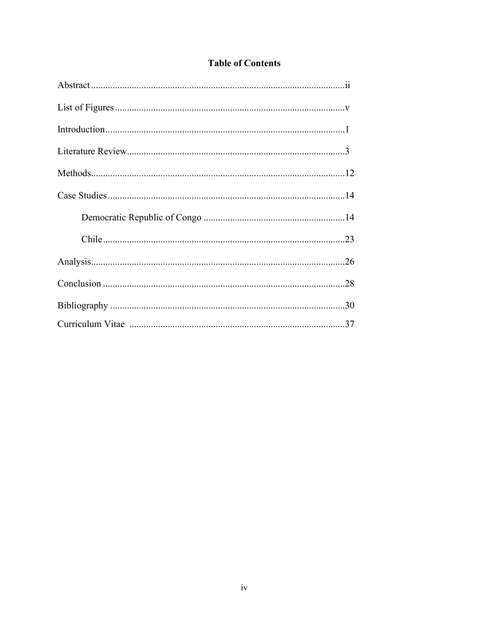## **Table of Contents**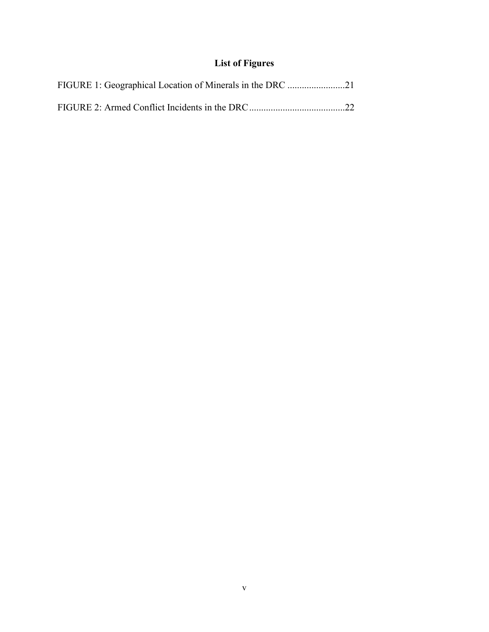# **List of Figures**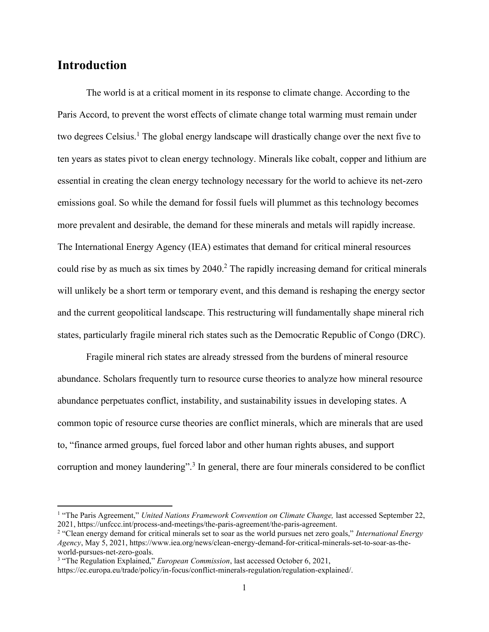## **Introduction**

The world is at a critical moment in its response to climate change. According to the Paris Accord, to prevent the worst effects of climate change total warming must remain under two degrees Celsius.<sup>1</sup> The global energy landscape will drastically change over the next five to ten years as states pivot to clean energy technology. Minerals like cobalt, copper and lithium are essential in creating the clean energy technology necessary for the world to achieve its net-zero emissions goal. So while the demand for fossil fuels will plummet as this technology becomes more prevalent and desirable, the demand for these minerals and metals will rapidly increase. The International Energy Agency (IEA) estimates that demand for critical mineral resources could rise by as much as six times by 2040.<sup>2</sup> The rapidly increasing demand for critical minerals will unlikely be a short term or temporary event, and this demand is reshaping the energy sector and the current geopolitical landscape. This restructuring will fundamentally shape mineral rich states, particularly fragile mineral rich states such as the Democratic Republic of Congo (DRC).

Fragile mineral rich states are already stressed from the burdens of mineral resource abundance. Scholars frequently turn to resource curse theories to analyze how mineral resource abundance perpetuates conflict, instability, and sustainability issues in developing states. A common topic of resource curse theories are conflict minerals, which are minerals that are used to, "finance armed groups, fuel forced labor and other human rights abuses, and support corruption and money laundering".<sup>3</sup> In general, there are four minerals considered to be conflict

<sup>&</sup>lt;sup>1</sup> "The Paris Agreement," *United Nations Framework Convention on Climate Change*, last accessed September 22, 2021, https://unfccc.int/process-and-meetings/the-paris-agreement/the-paris-agreement.

<sup>2</sup> "Clean energy demand for critical minerals set to soar as the world pursues net zero goals," *International Energy Agency*, May 5, 2021, https://www.iea.org/news/clean-energy-demand-for-critical-minerals-set-to-soar-as-theworld-pursues-net-zero-goals.

<sup>&</sup>lt;sup>3</sup> "The Regulation Explained," *European Commission*, last accessed October 6, 2021,

https://ec.europa.eu/trade/policy/in-focus/conflict-minerals-regulation/regulation-explained/.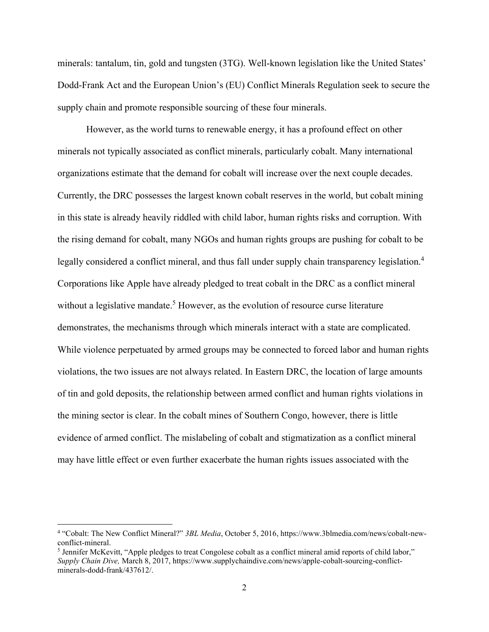minerals: tantalum, tin, gold and tungsten (3TG). Well-known legislation like the United States' Dodd-Frank Act and the European Union's (EU) Conflict Minerals Regulation seek to secure the supply chain and promote responsible sourcing of these four minerals.

However, as the world turns to renewable energy, it has a profound effect on other minerals not typically associated as conflict minerals, particularly cobalt. Many international organizations estimate that the demand for cobalt will increase over the next couple decades. Currently, the DRC possesses the largest known cobalt reserves in the world, but cobalt mining in this state is already heavily riddled with child labor, human rights risks and corruption. With the rising demand for cobalt, many NGOs and human rights groups are pushing for cobalt to be legally considered a conflict mineral, and thus fall under supply chain transparency legislation.<sup>4</sup> Corporations like Apple have already pledged to treat cobalt in the DRC as a conflict mineral without a legislative mandate.<sup>5</sup> However, as the evolution of resource curse literature demonstrates, the mechanisms through which minerals interact with a state are complicated. While violence perpetuated by armed groups may be connected to forced labor and human rights violations, the two issues are not always related. In Eastern DRC, the location of large amounts of tin and gold deposits, the relationship between armed conflict and human rights violations in the mining sector is clear. In the cobalt mines of Southern Congo, however, there is little evidence of armed conflict. The mislabeling of cobalt and stigmatization as a conflict mineral may have little effect or even further exacerbate the human rights issues associated with the

<sup>4</sup> "Cobalt: The New Conflict Mineral?" *3BL Media*, October 5, 2016, https://www.3blmedia.com/news/cobalt-newconflict-mineral.

<sup>&</sup>lt;sup>5</sup> Jennifer McKevitt, "Apple pledges to treat Congolese cobalt as a conflict mineral amid reports of child labor," *Supply Chain Dive,* March 8, 2017, https://www.supplychaindive.com/news/apple-cobalt-sourcing-conflictminerals-dodd-frank/437612/.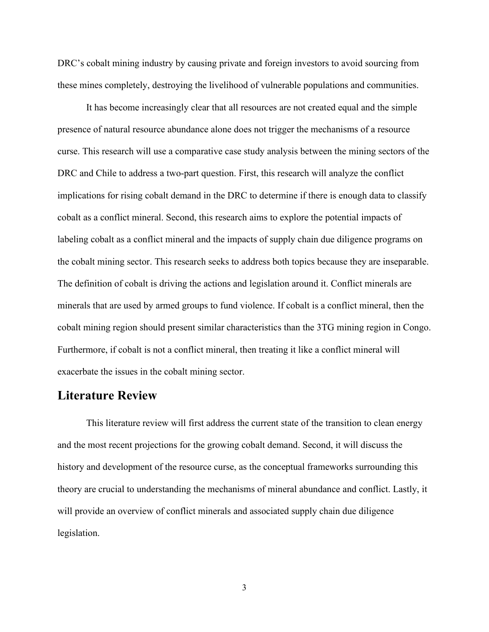DRC's cobalt mining industry by causing private and foreign investors to avoid sourcing from these mines completely, destroying the livelihood of vulnerable populations and communities.

It has become increasingly clear that all resources are not created equal and the simple presence of natural resource abundance alone does not trigger the mechanisms of a resource curse. This research will use a comparative case study analysis between the mining sectors of the DRC and Chile to address a two-part question. First, this research will analyze the conflict implications for rising cobalt demand in the DRC to determine if there is enough data to classify cobalt as a conflict mineral. Second, this research aims to explore the potential impacts of labeling cobalt as a conflict mineral and the impacts of supply chain due diligence programs on the cobalt mining sector. This research seeks to address both topics because they are inseparable. The definition of cobalt is driving the actions and legislation around it. Conflict minerals are minerals that are used by armed groups to fund violence. If cobalt is a conflict mineral, then the cobalt mining region should present similar characteristics than the 3TG mining region in Congo. Furthermore, if cobalt is not a conflict mineral, then treating it like a conflict mineral will exacerbate the issues in the cobalt mining sector.

## **Literature Review**

This literature review will first address the current state of the transition to clean energy and the most recent projections for the growing cobalt demand. Second, it will discuss the history and development of the resource curse, as the conceptual frameworks surrounding this theory are crucial to understanding the mechanisms of mineral abundance and conflict. Lastly, it will provide an overview of conflict minerals and associated supply chain due diligence legislation.

3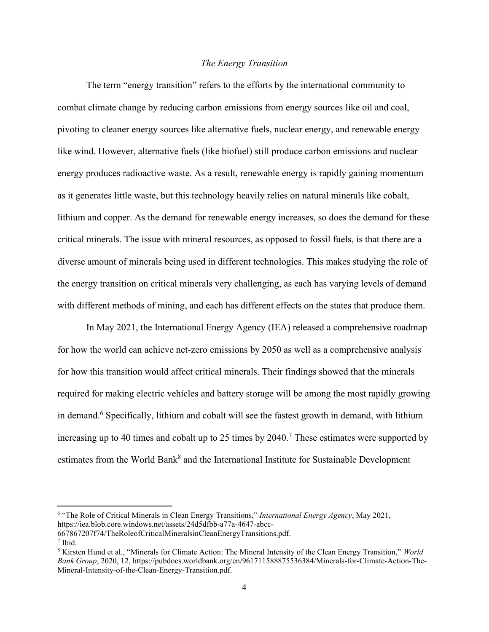#### *The Energy Transition*

The term "energy transition" refers to the efforts by the international community to combat climate change by reducing carbon emissions from energy sources like oil and coal, pivoting to cleaner energy sources like alternative fuels, nuclear energy, and renewable energy like wind. However, alternative fuels (like biofuel) still produce carbon emissions and nuclear energy produces radioactive waste. As a result, renewable energy is rapidly gaining momentum as it generates little waste, but this technology heavily relies on natural minerals like cobalt, lithium and copper. As the demand for renewable energy increases, so does the demand for these critical minerals. The issue with mineral resources, as opposed to fossil fuels, is that there are a diverse amount of minerals being used in different technologies. This makes studying the role of the energy transition on critical minerals very challenging, as each has varying levels of demand with different methods of mining, and each has different effects on the states that produce them.

In May 2021, the International Energy Agency (IEA) released a comprehensive roadmap for how the world can achieve net-zero emissions by 2050 as well as a comprehensive analysis for how this transition would affect critical minerals. Their findings showed that the minerals required for making electric vehicles and battery storage will be among the most rapidly growing in demand.<sup>6</sup> Specifically, lithium and cobalt will see the fastest growth in demand, with lithium increasing up to 40 times and cobalt up to 25 times by  $2040$ .<sup>7</sup> These estimates were supported by estimates from the World Bank<sup>8</sup> and the International Institute for Sustainable Development

<sup>6</sup> "The Role of Critical Minerals in Clean Energy Transitions," *International Energy Agency*, May 2021, https://iea.blob.core.windows.net/assets/24d5dfbb-a77a-4647-abcc-

<sup>667867207</sup>f74/TheRoleofCriticalMineralsinCleanEnergyTransitions.pdf.

<sup>7</sup> Ibid.

<sup>8</sup> Kirsten Hund et al., "Minerals for Climate Action: The Mineral Intensity of the Clean Energy Transition," *World Bank Group*, 2020, 12, https://pubdocs.worldbank.org/en/961711588875536384/Minerals-for-Climate-Action-The-Mineral-Intensity-of-the-Clean-Energy-Transition.pdf.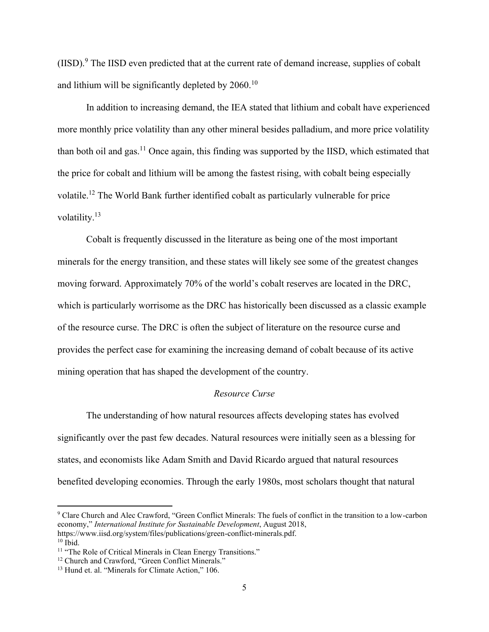(IISD).<sup>9</sup> The IISD even predicted that at the current rate of demand increase, supplies of cobalt and lithium will be significantly depleted by  $2060$ .<sup>10</sup>

In addition to increasing demand, the IEA stated that lithium and cobalt have experienced more monthly price volatility than any other mineral besides palladium, and more price volatility than both oil and gas.<sup>11</sup> Once again, this finding was supported by the IISD, which estimated that the price for cobalt and lithium will be among the fastest rising, with cobalt being especially volatile.<sup>12</sup> The World Bank further identified cobalt as particularly vulnerable for price volatility.<sup>13</sup>

Cobalt is frequently discussed in the literature as being one of the most important minerals for the energy transition, and these states will likely see some of the greatest changes moving forward. Approximately 70% of the world's cobalt reserves are located in the DRC, which is particularly worrisome as the DRC has historically been discussed as a classic example of the resource curse. The DRC is often the subject of literature on the resource curse and provides the perfect case for examining the increasing demand of cobalt because of its active mining operation that has shaped the development of the country.

#### *Resource Curse*

The understanding of how natural resources affects developing states has evolved significantly over the past few decades. Natural resources were initially seen as a blessing for states, and economists like Adam Smith and David Ricardo argued that natural resources benefited developing economies. Through the early 1980s, most scholars thought that natural

<sup>9</sup> Clare Church and Alec Crawford, "Green Conflict Minerals: The fuels of conflict in the transition to a low-carbon economy," *International Institute for Sustainable Development*, August 2018, https://www.iisd.org/system/files/publications/green-conflict-minerals.pdf.  $10$  Ibid.

<sup>&</sup>lt;sup>11</sup> "The Role of Critical Minerals in Clean Energy Transitions."

<sup>&</sup>lt;sup>12</sup> Church and Crawford, "Green Conflict Minerals."

<sup>&</sup>lt;sup>13</sup> Hund et. al. "Minerals for Climate Action," 106.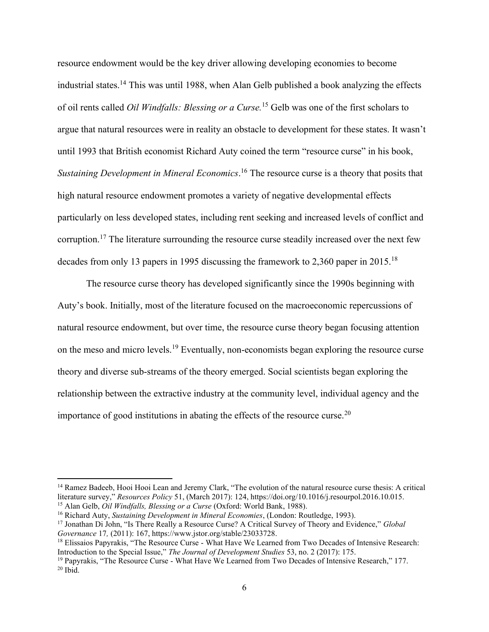resource endowment would be the key driver allowing developing economies to become industrial states.<sup>14</sup> This was until 1988, when Alan Gelb published a book analyzing the effects of oil rents called *Oil Windfalls: Blessing or a Curse.*<sup>15</sup> Gelb was one of the first scholars to argue that natural resources were in reality an obstacle to development for these states. It wasn't until 1993 that British economist Richard Auty coined the term "resource curse" in his book, *Sustaining Development in Mineral Economics*. <sup>16</sup> The resource curse is a theory that posits that high natural resource endowment promotes a variety of negative developmental effects particularly on less developed states, including rent seeking and increased levels of conflict and corruption.<sup>17</sup> The literature surrounding the resource curse steadily increased over the next few decades from only 13 papers in 1995 discussing the framework to 2,360 paper in 2015.<sup>18</sup>

The resource curse theory has developed significantly since the 1990s beginning with Auty's book. Initially, most of the literature focused on the macroeconomic repercussions of natural resource endowment, but over time, the resource curse theory began focusing attention on the meso and micro levels.<sup>19</sup> Eventually, non-economists began exploring the resource curse theory and diverse sub-streams of the theory emerged. Social scientists began exploring the relationship between the extractive industry at the community level, individual agency and the importance of good institutions in abating the effects of the resource curse.<sup>20</sup>

<sup>&</sup>lt;sup>14</sup> Ramez Badeeb, Hooi Hooi Lean and Jeremy Clark, "The evolution of the natural resource curse thesis: A critical literature survey," *Resources Policy* 51, (March 2017): 124, https://doi.org/10.1016/j.resourpol.2016.10.015. <sup>15</sup> Alan Gelb, *Oil Windfalls, Blessing or a Curse* (Oxford: World Bank, 1988).

<sup>16</sup> Richard Auty, *Sustaining Development in Mineral Economies*, (London: Routledge, 1993).

<sup>17</sup> Jonathan Di John, "Is There Really a Resource Curse? A Critical Survey of Theory and Evidence," *Global Governance* 17*,* (2011): 167, https://www.jstor.org/stable/23033728.

<sup>&</sup>lt;sup>18</sup> Elissaios Papyrakis, "The Resource Curse - What Have We Learned from Two Decades of Intensive Research: Introduction to the Special Issue," *The Journal of Development Studies* 53, no. 2 (2017): 175.

<sup>19</sup> Papyrakis, "The Resource Curse - What Have We Learned from Two Decades of Intensive Research," 177.  $20$  Ibid.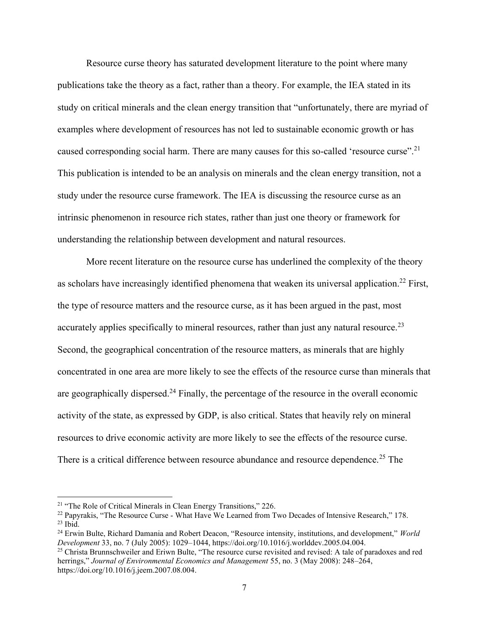Resource curse theory has saturated development literature to the point where many publications take the theory as a fact, rather than a theory. For example, the IEA stated in its study on critical minerals and the clean energy transition that "unfortunately, there are myriad of examples where development of resources has not led to sustainable economic growth or has caused corresponding social harm. There are many causes for this so-called 'resource curse".<sup>21</sup> This publication is intended to be an analysis on minerals and the clean energy transition, not a study under the resource curse framework. The IEA is discussing the resource curse as an intrinsic phenomenon in resource rich states, rather than just one theory or framework for understanding the relationship between development and natural resources.

More recent literature on the resource curse has underlined the complexity of the theory as scholars have increasingly identified phenomena that weaken its universal application.<sup>22</sup> First, the type of resource matters and the resource curse, as it has been argued in the past, most accurately applies specifically to mineral resources, rather than just any natural resource.<sup>23</sup> Second, the geographical concentration of the resource matters, as minerals that are highly concentrated in one area are more likely to see the effects of the resource curse than minerals that are geographically dispersed.<sup>24</sup> Finally, the percentage of the resource in the overall economic activity of the state, as expressed by GDP, is also critical. States that heavily rely on mineral resources to drive economic activity are more likely to see the effects of the resource curse. There is a critical difference between resource abundance and resource dependence.<sup>25</sup> The

<sup>&</sup>lt;sup>21</sup> "The Role of Critical Minerals in Clean Energy Transitions," 226.

<sup>22</sup> Papyrakis, "The Resource Curse - What Have We Learned from Two Decades of Intensive Research," 178.  $^{23}$  Ibid.

<sup>24</sup> Erwin Bulte, Richard Damania and Robert Deacon, "Resource intensity, institutions, and development," *World Development* 33, no. 7 (July 2005): 1029–1044, https://doi.org/10.1016/j.worlddev.2005.04.004.

<sup>&</sup>lt;sup>25</sup> Christa Brunnschweiler and Eriwn Bulte, "The resource curse revisited and revised: A tale of paradoxes and red herrings," *Journal of Environmental Economics and Management* 55, no. 3 (May 2008): 248–264, https://doi.org/10.1016/j.jeem.2007.08.004.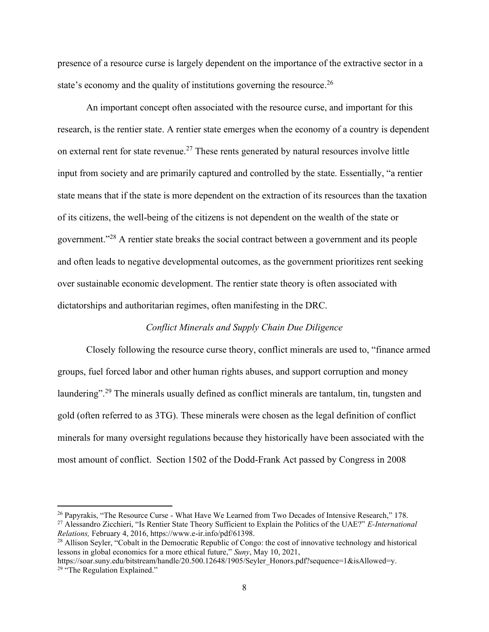presence of a resource curse is largely dependent on the importance of the extractive sector in a state's economy and the quality of institutions governing the resource.<sup>26</sup>

An important concept often associated with the resource curse, and important for this research, is the rentier state. A rentier state emerges when the economy of a country is dependent on external rent for state revenue.<sup>27</sup> These rents generated by natural resources involve little input from society and are primarily captured and controlled by the state. Essentially, "a rentier state means that if the state is more dependent on the extraction of its resources than the taxation of its citizens, the well-being of the citizens is not dependent on the wealth of the state or government."<sup>28</sup> A rentier state breaks the social contract between a government and its people and often leads to negative developmental outcomes, as the government prioritizes rent seeking over sustainable economic development. The rentier state theory is often associated with dictatorships and authoritarian regimes, often manifesting in the DRC.

#### *Conflict Minerals and Supply Chain Due Diligence*

Closely following the resource curse theory, conflict minerals are used to, "finance armed groups, fuel forced labor and other human rights abuses, and support corruption and money laundering".<sup>29</sup> The minerals usually defined as conflict minerals are tantalum, tin, tungsten and gold (often referred to as 3TG). These minerals were chosen as the legal definition of conflict minerals for many oversight regulations because they historically have been associated with the most amount of conflict. Section 1502 of the Dodd-Frank Act passed by Congress in 2008

<sup>&</sup>lt;sup>26</sup> Papyrakis, "The Resource Curse - What Have We Learned from Two Decades of Intensive Research," 178. <sup>27</sup> Alessandro Zicchieri, "Is Rentier State Theory Sufficient to Explain the Politics of the UAE?" *E-International Relations,* February 4, 2016, https://www.e-ir.info/pdf/61398.

<sup>&</sup>lt;sup>28</sup> Allison Seyler, "Cobalt in the Democratic Republic of Congo: the cost of innovative technology and historical lessons in global economics for a more ethical future," *Suny*, May 10, 2021,

https://soar.suny.edu/bitstream/handle/20.500.12648/1905/Seyler\_Honors.pdf?sequence=1&isAllowed=y. <sup>29</sup> "The Regulation Explained."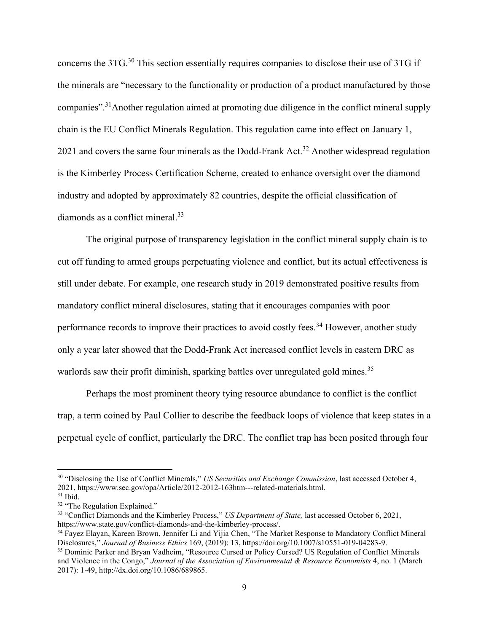concerns the 3TG.<sup>30</sup> This section essentially requires companies to disclose their use of 3TG if the minerals are "necessary to the functionality or production of a product manufactured by those companies".<sup>31</sup>Another regulation aimed at promoting due diligence in the conflict mineral supply chain is the EU Conflict Minerals Regulation. This regulation came into effect on January 1, 2021 and covers the same four minerals as the Dodd-Frank Act.<sup>32</sup> Another widespread regulation is the Kimberley Process Certification Scheme, created to enhance oversight over the diamond industry and adopted by approximately 82 countries, despite the official classification of diamonds as a conflict mineral.<sup>33</sup>

The original purpose of transparency legislation in the conflict mineral supply chain is to cut off funding to armed groups perpetuating violence and conflict, but its actual effectiveness is still under debate. For example, one research study in 2019 demonstrated positive results from mandatory conflict mineral disclosures, stating that it encourages companies with poor performance records to improve their practices to avoid costly fees.<sup>34</sup> However, another study only a year later showed that the Dodd-Frank Act increased conflict levels in eastern DRC as warlords saw their profit diminish, sparking battles over unregulated gold mines.<sup>35</sup>

Perhaps the most prominent theory tying resource abundance to conflict is the conflict trap, a term coined by Paul Collier to describe the feedback loops of violence that keep states in a perpetual cycle of conflict, particularly the DRC. The conflict trap has been posited through four

<sup>30</sup> "Disclosing the Use of Conflict Minerals," *US Securities and Exchange Commission*, last accessed October 4, 2021, https://www.sec.gov/opa/Article/2012-2012-163htm---related-materials.html.

<sup>31</sup> Ibid.

<sup>&</sup>lt;sup>32</sup> "The Regulation Explained."

<sup>33</sup> "Conflict Diamonds and the Kimberley Process," *US Department of State,* last accessed October 6, 2021, https://www.state.gov/conflict-diamonds-and-the-kimberley-process/.

<sup>34</sup> Fayez Elayan, Kareen Brown, Jennifer Li and Yijia Chen, "The Market Response to Mandatory Conflict Mineral Disclosures," *Journal of Business Ethics* 169, (2019): 13, https://doi.org/10.1007/s10551-019-04283-9.

<sup>&</sup>lt;sup>35</sup> Dominic Parker and Bryan Vadheim, "Resource Cursed or Policy Cursed? US Regulation of Conflict Minerals and Violence in the Congo," *Journal of the Association of Environmental & Resource Economists* 4, no. 1 (March 2017): 1-49, http://dx.doi.org/10.1086/689865.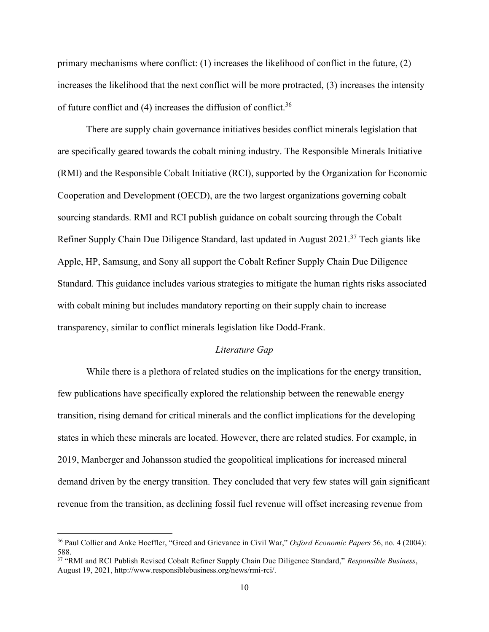primary mechanisms where conflict: (1) increases the likelihood of conflict in the future, (2) increases the likelihood that the next conflict will be more protracted, (3) increases the intensity of future conflict and  $(4)$  increases the diffusion of conflict.<sup>36</sup>

There are supply chain governance initiatives besides conflict minerals legislation that are specifically geared towards the cobalt mining industry. The Responsible Minerals Initiative (RMI) and the Responsible Cobalt Initiative (RCI), supported by the Organization for Economic Cooperation and Development (OECD), are the two largest organizations governing cobalt sourcing standards. RMI and RCI publish guidance on cobalt sourcing through the Cobalt Refiner Supply Chain Due Diligence Standard, last updated in August 2021.<sup>37</sup> Tech giants like Apple, HP, Samsung, and Sony all support the Cobalt Refiner Supply Chain Due Diligence Standard. This guidance includes various strategies to mitigate the human rights risks associated with cobalt mining but includes mandatory reporting on their supply chain to increase transparency, similar to conflict minerals legislation like Dodd-Frank.

#### *Literature Gap*

While there is a plethora of related studies on the implications for the energy transition, few publications have specifically explored the relationship between the renewable energy transition, rising demand for critical minerals and the conflict implications for the developing states in which these minerals are located. However, there are related studies. For example, in 2019, Manberger and Johansson studied the geopolitical implications for increased mineral demand driven by the energy transition. They concluded that very few states will gain significant revenue from the transition, as declining fossil fuel revenue will offset increasing revenue from

<sup>36</sup> Paul Collier and Anke Hoeffler, "Greed and Grievance in Civil War," *Oxford Economic Papers* 56, no. 4 (2004): 588.

<sup>37</sup> "RMI and RCI Publish Revised Cobalt Refiner Supply Chain Due Diligence Standard," *Responsible Business*, August 19, 2021, http://www.responsiblebusiness.org/news/rmi-rci/.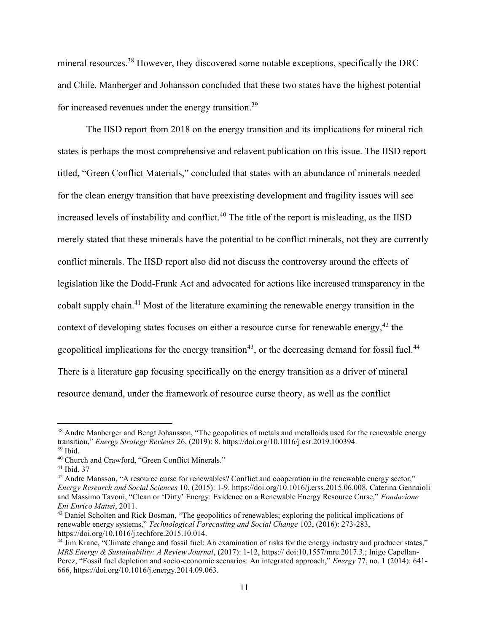mineral resources.<sup>38</sup> However, they discovered some notable exceptions, specifically the DRC and Chile. Manberger and Johansson concluded that these two states have the highest potential for increased revenues under the energy transition.<sup>39</sup>

The IISD report from 2018 on the energy transition and its implications for mineral rich states is perhaps the most comprehensive and relavent publication on this issue. The IISD report titled, "Green Conflict Materials," concluded that states with an abundance of minerals needed for the clean energy transition that have preexisting development and fragility issues will see increased levels of instability and conflict.<sup>40</sup> The title of the report is misleading, as the IISD merely stated that these minerals have the potential to be conflict minerals, not they are currently conflict minerals. The IISD report also did not discuss the controversy around the effects of legislation like the Dodd-Frank Act and advocated for actions like increased transparency in the cobalt supply chain.<sup>41</sup> Most of the literature examining the renewable energy transition in the context of developing states focuses on either a resource curse for renewable energy,  $42$  the geopolitical implications for the energy transition<sup>43</sup>, or the decreasing demand for fossil fuel.<sup>44</sup> There is a literature gap focusing specifically on the energy transition as a driver of mineral resource demand, under the framework of resource curse theory, as well as the conflict

<sup>&</sup>lt;sup>38</sup> Andre Manberger and Bengt Johansson, "The geopolitics of metals and metalloids used for the renewable energy transition," *Energy Strategy Reviews* 26, (2019): 8. https://doi.org/10.1016/j.esr.2019.100394. <sup>39</sup> Ibid.

<sup>40</sup> Church and Crawford, "Green Conflict Minerals."

<sup>41</sup> Ibid. 37

<sup>&</sup>lt;sup>42</sup> Andre Mansson, "A resource curse for renewables? Conflict and cooperation in the renewable energy sector," *Energy Research and Social Sciences* 10, (2015): 1-9. https://doi.org/10.1016/j.erss.2015.06.008. Caterina Gennaioli and Massimo Tavoni, "Clean or 'Dirty' Energy: Evidence on a Renewable Energy Resource Curse," *Fondazione Eni Enrico Mattei*, 2011.

<sup>&</sup>lt;sup>43</sup> Daniel Scholten and Rick Bosman, "The geopolitics of renewables; exploring the political implications of renewable energy systems," *Technological Forecasting and Social Change* 103, (2016): 273-283, https://doi.org/10.1016/j.techfore.2015.10.014.

<sup>44</sup> Jim Krane, "Climate change and fossil fuel: An examination of risks for the energy industry and producer states," *MRS Energy & Sustainability: A Review Journal*, (2017): 1-12, https:// doi:10.1557/mre.2017.3.; Inigo Capellan-Perez, "Fossil fuel depletion and socio-economic scenarios: An integrated approach," *Energy* 77, no. 1 (2014): 641- 666, https://doi.org/10.1016/j.energy.2014.09.063.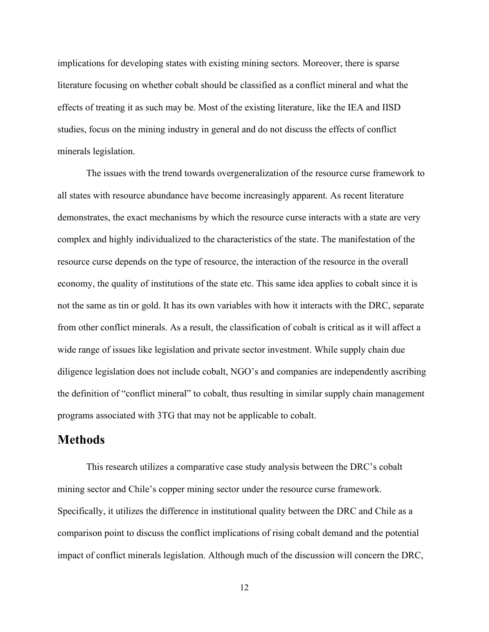implications for developing states with existing mining sectors. Moreover, there is sparse literature focusing on whether cobalt should be classified as a conflict mineral and what the effects of treating it as such may be. Most of the existing literature, like the IEA and IISD studies, focus on the mining industry in general and do not discuss the effects of conflict minerals legislation.

The issues with the trend towards overgeneralization of the resource curse framework to all states with resource abundance have become increasingly apparent. As recent literature demonstrates, the exact mechanisms by which the resource curse interacts with a state are very complex and highly individualized to the characteristics of the state. The manifestation of the resource curse depends on the type of resource, the interaction of the resource in the overall economy, the quality of institutions of the state etc. This same idea applies to cobalt since it is not the same as tin or gold. It has its own variables with how it interacts with the DRC, separate from other conflict minerals. As a result, the classification of cobalt is critical as it will affect a wide range of issues like legislation and private sector investment. While supply chain due diligence legislation does not include cobalt, NGO's and companies are independently ascribing the definition of "conflict mineral" to cobalt, thus resulting in similar supply chain management programs associated with 3TG that may not be applicable to cobalt.

## **Methods**

This research utilizes a comparative case study analysis between the DRC's cobalt mining sector and Chile's copper mining sector under the resource curse framework. Specifically, it utilizes the difference in institutional quality between the DRC and Chile as a comparison point to discuss the conflict implications of rising cobalt demand and the potential impact of conflict minerals legislation. Although much of the discussion will concern the DRC,

12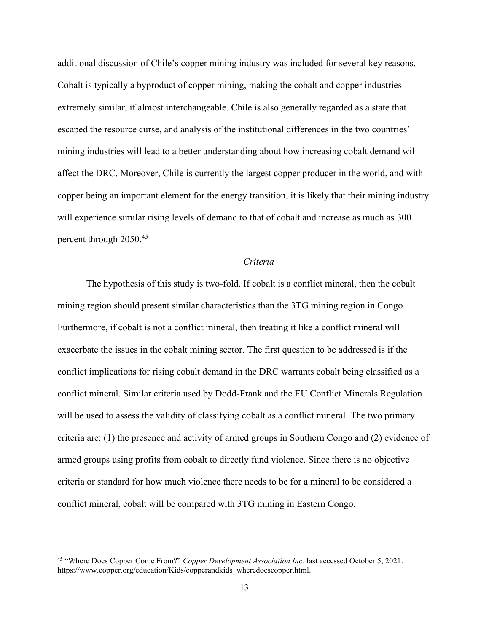additional discussion of Chile's copper mining industry was included for several key reasons. Cobalt is typically a byproduct of copper mining, making the cobalt and copper industries extremely similar, if almost interchangeable. Chile is also generally regarded as a state that escaped the resource curse, and analysis of the institutional differences in the two countries' mining industries will lead to a better understanding about how increasing cobalt demand will affect the DRC. Moreover, Chile is currently the largest copper producer in the world, and with copper being an important element for the energy transition, it is likely that their mining industry will experience similar rising levels of demand to that of cobalt and increase as much as 300 percent through 2050. 45

#### *Criteria*

The hypothesis of this study is two-fold. If cobalt is a conflict mineral, then the cobalt mining region should present similar characteristics than the 3TG mining region in Congo. Furthermore, if cobalt is not a conflict mineral, then treating it like a conflict mineral will exacerbate the issues in the cobalt mining sector. The first question to be addressed is if the conflict implications for rising cobalt demand in the DRC warrants cobalt being classified as a conflict mineral. Similar criteria used by Dodd-Frank and the EU Conflict Minerals Regulation will be used to assess the validity of classifying cobalt as a conflict mineral. The two primary criteria are: (1) the presence and activity of armed groups in Southern Congo and (2) evidence of armed groups using profits from cobalt to directly fund violence. Since there is no objective criteria or standard for how much violence there needs to be for a mineral to be considered a conflict mineral, cobalt will be compared with 3TG mining in Eastern Congo.

<sup>45</sup> "Where Does Copper Come From?" *Copper Development Association Inc.* last accessed October 5, 2021. https://www.copper.org/education/Kids/copperandkids\_wheredoescopper.html.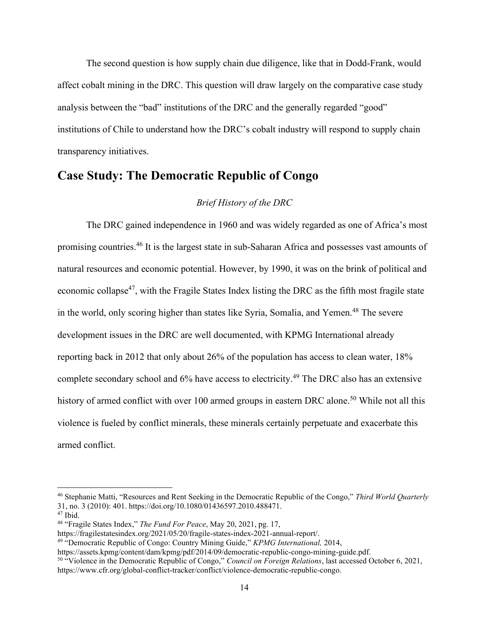The second question is how supply chain due diligence, like that in Dodd-Frank, would affect cobalt mining in the DRC. This question will draw largely on the comparative case study analysis between the "bad" institutions of the DRC and the generally regarded "good" institutions of Chile to understand how the DRC's cobalt industry will respond to supply chain transparency initiatives.

## **Case Study: The Democratic Republic of Congo**

#### *Brief History of the DRC*

The DRC gained independence in 1960 and was widely regarded as one of Africa's most promising countries.<sup>46</sup> It is the largest state in sub-Saharan Africa and possesses vast amounts of natural resources and economic potential. However, by 1990, it was on the brink of political and economic collapse<sup>47</sup>, with the Fragile States Index listing the DRC as the fifth most fragile state in the world, only scoring higher than states like Syria, Somalia, and Yemen.<sup>48</sup> The severe development issues in the DRC are well documented, with KPMG International already reporting back in 2012 that only about 26% of the population has access to clean water, 18% complete secondary school and  $6\%$  have access to electricity.<sup>49</sup> The DRC also has an extensive history of armed conflict with over 100 armed groups in eastern DRC alone.<sup>50</sup> While not all this violence is fueled by conflict minerals, these minerals certainly perpetuate and exacerbate this armed conflict.

<sup>46</sup> Stephanie Matti, "Resources and Rent Seeking in the Democratic Republic of the Congo," *Third World Quarterly*  31, no. 3 (2010): 401. https://doi.org/10.1080/01436597.2010.488471.

 $47$  Ibid.

<sup>48</sup> "Fragile States Index," *The Fund For Peace*, May 20, 2021, pg. 17,

https://fragilestatesindex.org/2021/05/20/fragile-states-index-2021-annual-report/.

<sup>49</sup> "Democratic Republic of Congo: Country Mining Guide," *KPMG International,* 2014,

https://assets.kpmg/content/dam/kpmg/pdf/2014/09/democratic-republic-congo-mining-guide.pdf.

<sup>50</sup> "Violence in the Democratic Republic of Congo," *Council on Foreign Relations*, last accessed October 6, 2021, https://www.cfr.org/global-conflict-tracker/conflict/violence-democratic-republic-congo.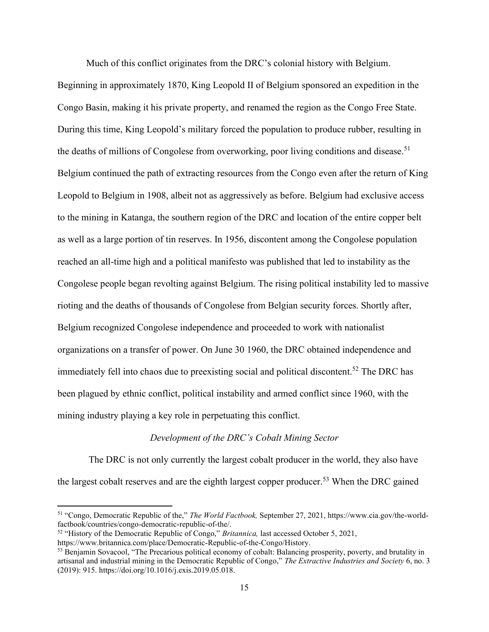Much of this conflict originates from the DRC's colonial history with Belgium.

Beginning in approximately 1870, King Leopold II of Belgium sponsored an expedition in the Congo Basin, making it his private property, and renamed the region as the Congo Free State. During this time, King Leopold's military forced the population to produce rubber, resulting in the deaths of millions of Congolese from overworking, poor living conditions and disease.<sup>51</sup> Belgium continued the path of extracting resources from the Congo even after the return of King Leopold to Belgium in 1908, albeit not as aggressively as before. Belgium had exclusive access to the mining in Katanga, the southern region of the DRC and location of the entire copper belt as well as a large portion of tin reserves. In 1956, discontent among the Congolese population reached an all-time high and a political manifesto was published that led to instability as the Congolese people began revolting against Belgium. The rising political instability led to massive rioting and the deaths of thousands of Congolese from Belgian security forces. Shortly after, Belgium recognized Congolese independence and proceeded to work with nationalist organizations on a transfer of power. On June 30 1960, the DRC obtained independence and immediately fell into chaos due to preexisting social and political discontent.<sup>52</sup> The DRC has been plagued by ethnic conflict, political instability and armed conflict since 1960, with the mining industry playing a key role in perpetuating this conflict.

#### *Development of the DRC's Cobalt Mining Sector*

The DRC is not only currently the largest cobalt producer in the world, they also have the largest cobalt reserves and are the eighth largest copper producer.<sup>53</sup> When the DRC gained

<sup>51</sup> "Congo, Democratic Republic of the," *The World Factbook,* September 27, 2021, https://www.cia.gov/the-worldfactbook/countries/congo-democratic-republic-of-the/.

<sup>52</sup> "History of the Democratic Republic of Congo," *Britannica,* last accessed October 5, 2021,

https://www.britannica.com/place/Democratic-Republic-of-the-Congo/History.

<sup>53</sup> Benjamin Sovacool, "The Precarious political economy of cobalt: Balancing prosperity, poverty, and brutality in artisanal and industrial mining in the Democratic Republic of Congo," *The Extractive Industries and Society* 6, no. 3 (2019): 915. https://doi.org/10.1016/j.exis.2019.05.018.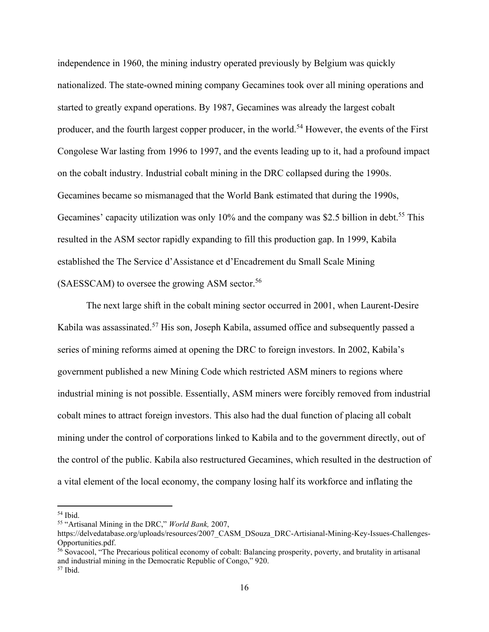independence in 1960, the mining industry operated previously by Belgium was quickly nationalized. The state-owned mining company Gecamines took over all mining operations and started to greatly expand operations. By 1987, Gecamines was already the largest cobalt producer, and the fourth largest copper producer, in the world.<sup>54</sup> However, the events of the First Congolese War lasting from 1996 to 1997, and the events leading up to it, had a profound impact on the cobalt industry. Industrial cobalt mining in the DRC collapsed during the 1990s. Gecamines became so mismanaged that the World Bank estimated that during the 1990s, Gecamines' capacity utilization was only  $10\%$  and the company was \$2.5 billion in debt.<sup>55</sup> This resulted in the ASM sector rapidly expanding to fill this production gap. In 1999, Kabila established the The Service d'Assistance et d'Encadrement du Small Scale Mining (SAESSCAM) to oversee the growing ASM sector.<sup>56</sup>

The next large shift in the cobalt mining sector occurred in 2001, when Laurent-Desire Kabila was assassinated.<sup>57</sup> His son, Joseph Kabila, assumed office and subsequently passed a series of mining reforms aimed at opening the DRC to foreign investors. In 2002, Kabila's government published a new Mining Code which restricted ASM miners to regions where industrial mining is not possible. Essentially, ASM miners were forcibly removed from industrial cobalt mines to attract foreign investors. This also had the dual function of placing all cobalt mining under the control of corporations linked to Kabila and to the government directly, out of the control of the public. Kabila also restructured Gecamines, which resulted in the destruction of a vital element of the local economy, the company losing half its workforce and inflating the

 $54$  Ibid.

<sup>55</sup> "Artisanal Mining in the DRC," *World Bank,* 2007,

https://delvedatabase.org/uploads/resources/2007\_CASM\_DSouza\_DRC-Artisianal-Mining-Key-Issues-Challenges-Opportunities.pdf.

<sup>56</sup> Sovacool, "The Precarious political economy of cobalt: Balancing prosperity, poverty, and brutality in artisanal and industrial mining in the Democratic Republic of Congo," 920. <sup>57</sup> Ibid.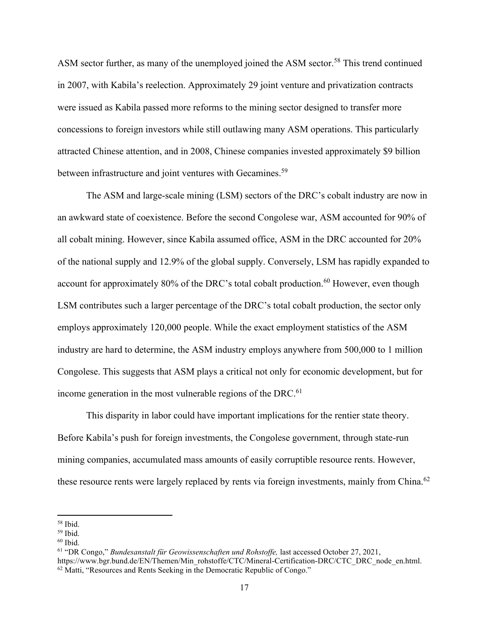ASM sector further, as many of the unemployed joined the ASM sector.<sup>58</sup> This trend continued in 2007, with Kabila's reelection. Approximately 29 joint venture and privatization contracts were issued as Kabila passed more reforms to the mining sector designed to transfer more concessions to foreign investors while still outlawing many ASM operations. This particularly attracted Chinese attention, and in 2008, Chinese companies invested approximately \$9 billion between infrastructure and joint ventures with Gecamines.<sup>59</sup>

The ASM and large-scale mining (LSM) sectors of the DRC's cobalt industry are now in an awkward state of coexistence. Before the second Congolese war, ASM accounted for 90% of all cobalt mining. However, since Kabila assumed office, ASM in the DRC accounted for 20% of the national supply and 12.9% of the global supply. Conversely, LSM has rapidly expanded to account for approximately 80% of the DRC's total cobalt production.<sup>60</sup> However, even though LSM contributes such a larger percentage of the DRC's total cobalt production, the sector only employs approximately 120,000 people. While the exact employment statistics of the ASM industry are hard to determine, the ASM industry employs anywhere from 500,000 to 1 million Congolese. This suggests that ASM plays a critical not only for economic development, but for income generation in the most vulnerable regions of the DRC. $61$ 

This disparity in labor could have important implications for the rentier state theory. Before Kabila's push for foreign investments, the Congolese government, through state-run mining companies, accumulated mass amounts of easily corruptible resource rents. However, these resource rents were largely replaced by rents via foreign investments, mainly from China.<sup>62</sup>

<sup>58</sup> Ibid.

<sup>59</sup> Ibid.

 $60$  Ibid.

<sup>61</sup> "DR Congo," *Bundesanstalt für Geowissenschaften und Rohstoffe,* last accessed October 27, 2021, https://www.bgr.bund.de/EN/Themen/Min\_rohstoffe/CTC/Mineral-Certification-DRC/CTC\_DRC\_node\_en.html.  $62$  Matti, "Resources and Rents Seeking in the Democratic Republic of Congo."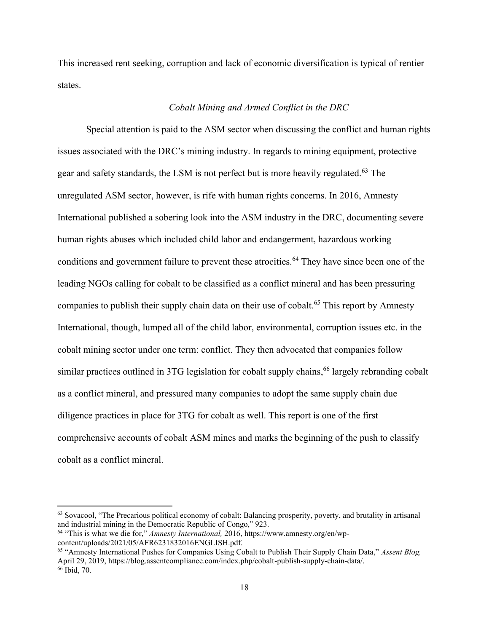This increased rent seeking, corruption and lack of economic diversification is typical of rentier states.

#### *Cobalt Mining and Armed Conflict in the DRC*

Special attention is paid to the ASM sector when discussing the conflict and human rights issues associated with the DRC's mining industry. In regards to mining equipment, protective gear and safety standards, the LSM is not perfect but is more heavily regulated.<sup>63</sup> The unregulated ASM sector, however, is rife with human rights concerns. In 2016, Amnesty International published a sobering look into the ASM industry in the DRC, documenting severe human rights abuses which included child labor and endangerment, hazardous working conditions and government failure to prevent these atrocities.<sup>64</sup> They have since been one of the leading NGOs calling for cobalt to be classified as a conflict mineral and has been pressuring companies to publish their supply chain data on their use of cobalt.<sup>65</sup> This report by Amnesty International, though, lumped all of the child labor, environmental, corruption issues etc. in the cobalt mining sector under one term: conflict. They then advocated that companies follow similar practices outlined in 3TG legislation for cobalt supply chains,<sup>66</sup> largely rebranding cobalt as a conflict mineral, and pressured many companies to adopt the same supply chain due diligence practices in place for 3TG for cobalt as well. This report is one of the first comprehensive accounts of cobalt ASM mines and marks the beginning of the push to classify cobalt as a conflict mineral.

 $63$  Sovacool, "The Precarious political economy of cobalt: Balancing prosperity, poverty, and brutality in artisanal and industrial mining in the Democratic Republic of Congo," 923.

<sup>64</sup> "This is what we die for," *Amnesty International,* 2016, https://www.amnesty.org/en/wpcontent/uploads/2021/05/AFR6231832016ENGLISH.pdf.

<sup>65</sup> "Amnesty International Pushes for Companies Using Cobalt to Publish Their Supply Chain Data," *Assent Blog,*  April 29, 2019, https://blog.assentcompliance.com/index.php/cobalt-publish-supply-chain-data/. <sup>66</sup> Ibid, 70.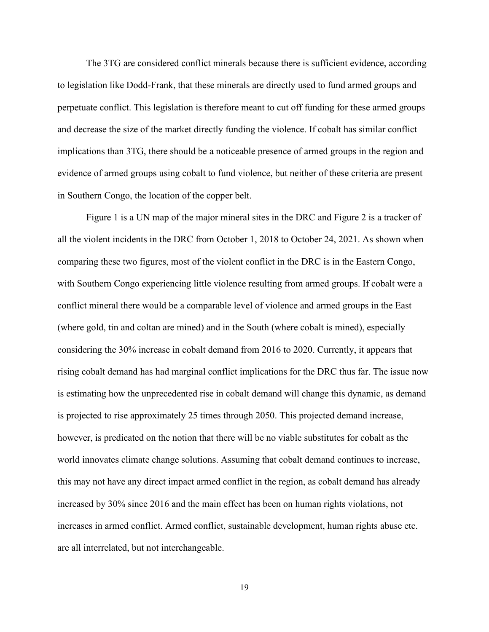The 3TG are considered conflict minerals because there is sufficient evidence, according to legislation like Dodd-Frank, that these minerals are directly used to fund armed groups and perpetuate conflict. This legislation is therefore meant to cut off funding for these armed groups and decrease the size of the market directly funding the violence. If cobalt has similar conflict implications than 3TG, there should be a noticeable presence of armed groups in the region and evidence of armed groups using cobalt to fund violence, but neither of these criteria are present in Southern Congo, the location of the copper belt.

Figure 1 is a UN map of the major mineral sites in the DRC and Figure 2 is a tracker of all the violent incidents in the DRC from October 1, 2018 to October 24, 2021. As shown when comparing these two figures, most of the violent conflict in the DRC is in the Eastern Congo, with Southern Congo experiencing little violence resulting from armed groups. If cobalt were a conflict mineral there would be a comparable level of violence and armed groups in the East (where gold, tin and coltan are mined) and in the South (where cobalt is mined), especially considering the 30% increase in cobalt demand from 2016 to 2020. Currently, it appears that rising cobalt demand has had marginal conflict implications for the DRC thus far. The issue now is estimating how the unprecedented rise in cobalt demand will change this dynamic, as demand is projected to rise approximately 25 times through 2050. This projected demand increase, however, is predicated on the notion that there will be no viable substitutes for cobalt as the world innovates climate change solutions. Assuming that cobalt demand continues to increase, this may not have any direct impact armed conflict in the region, as cobalt demand has already increased by 30% since 2016 and the main effect has been on human rights violations, not increases in armed conflict. Armed conflict, sustainable development, human rights abuse etc. are all interrelated, but not interchangeable.

19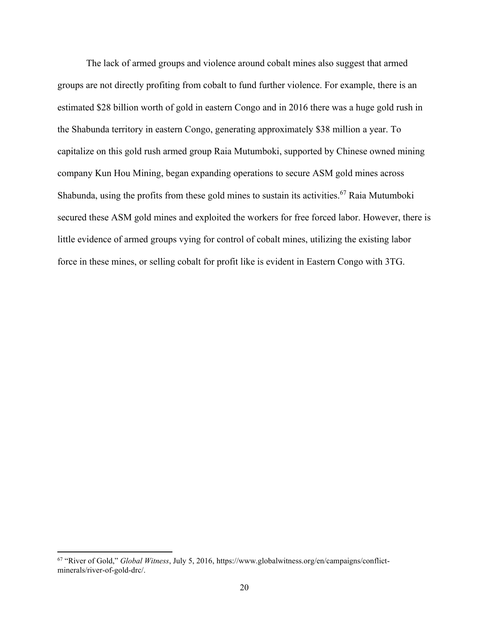The lack of armed groups and violence around cobalt mines also suggest that armed groups are not directly profiting from cobalt to fund further violence. For example, there is an estimated \$28 billion worth of gold in eastern Congo and in 2016 there was a huge gold rush in the Shabunda territory in eastern Congo, generating approximately \$38 million a year. To capitalize on this gold rush armed group Raia Mutumboki, supported by Chinese owned mining company Kun Hou Mining, began expanding operations to secure ASM gold mines across Shabunda, using the profits from these gold mines to sustain its activities.<sup>67</sup> Raia Mutumboki secured these ASM gold mines and exploited the workers for free forced labor. However, there is little evidence of armed groups vying for control of cobalt mines, utilizing the existing labor force in these mines, or selling cobalt for profit like is evident in Eastern Congo with 3TG.

<sup>67</sup> "River of Gold," *Global Witness*, July 5, 2016, https://www.globalwitness.org/en/campaigns/conflictminerals/river-of-gold-drc/.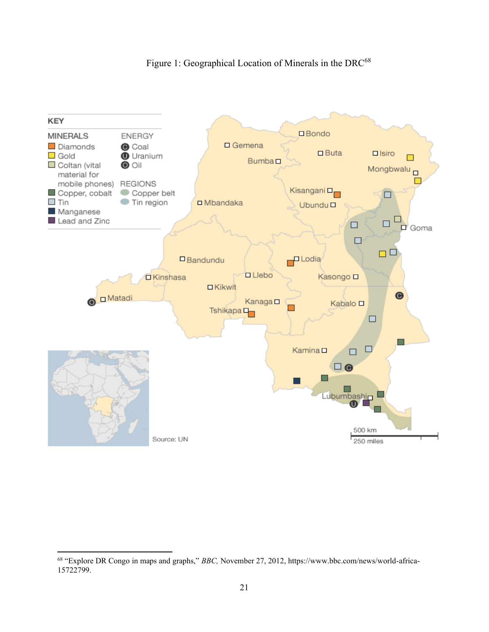

### Figure 1: Geographical Location of Minerals in the DRC<sup>68</sup>

<sup>68</sup> "Explore DR Congo in maps and graphs," *BBC,* November 27, 2012, https://www.bbc.com/news/world-africa-15722799.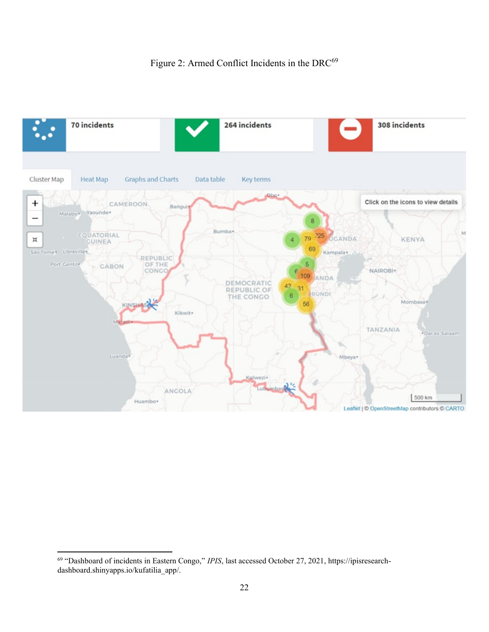

<sup>69</sup> "Dashboard of incidents in Eastern Congo," *IPIS*, last accessed October 27, 2021, https://ipisresearchdashboard.shinyapps.io/kufatilia\_app/.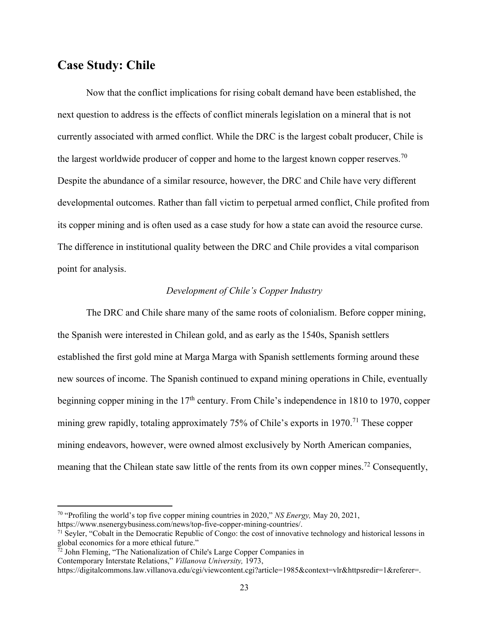## **Case Study: Chile**

Now that the conflict implications for rising cobalt demand have been established, the next question to address is the effects of conflict minerals legislation on a mineral that is not currently associated with armed conflict. While the DRC is the largest cobalt producer, Chile is the largest worldwide producer of copper and home to the largest known copper reserves.<sup>70</sup> Despite the abundance of a similar resource, however, the DRC and Chile have very different developmental outcomes. Rather than fall victim to perpetual armed conflict, Chile profited from its copper mining and is often used as a case study for how a state can avoid the resource curse. The difference in institutional quality between the DRC and Chile provides a vital comparison point for analysis.

#### *Development of Chile's Copper Industry*

The DRC and Chile share many of the same roots of colonialism. Before copper mining, the Spanish were interested in Chilean gold, and as early as the 1540s, Spanish settlers established the first gold mine at Marga Marga with Spanish settlements forming around these new sources of income. The Spanish continued to expand mining operations in Chile, eventually beginning copper mining in the 17<sup>th</sup> century. From Chile's independence in 1810 to 1970, copper mining grew rapidly, totaling approximately 75% of Chile's exports in 1970.<sup>71</sup> These copper mining endeavors, however, were owned almost exclusively by North American companies, meaning that the Chilean state saw little of the rents from its own copper mines.<sup>72</sup> Consequently,

<sup>70</sup> "Profiling the world's top five copper mining countries in 2020," *NS Energy,* May 20, 2021,

https://www.nsenergybusiness.com/news/top-five-copper-mining-countries/.

 $71$  Seyler, "Cobalt in the Democratic Republic of Congo: the cost of innovative technology and historical lessons in global economics for a more ethical future."

<sup>72</sup> John Fleming, "The Nationalization of Chile's Large Copper Companies in

Contemporary Interstate Relations," *Villanova University,* 1973,

https://digitalcommons.law.villanova.edu/cgi/viewcontent.cgi?article=1985&context=vlr&httpsredir=1&referer=.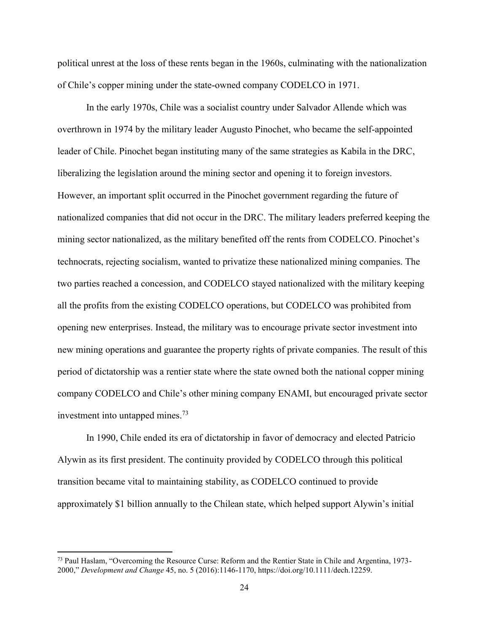political unrest at the loss of these rents began in the 1960s, culminating with the nationalization of Chile's copper mining under the state-owned company CODELCO in 1971.

In the early 1970s, Chile was a socialist country under Salvador Allende which was overthrown in 1974 by the military leader Augusto Pinochet, who became the self-appointed leader of Chile. Pinochet began instituting many of the same strategies as Kabila in the DRC, liberalizing the legislation around the mining sector and opening it to foreign investors. However, an important split occurred in the Pinochet government regarding the future of nationalized companies that did not occur in the DRC. The military leaders preferred keeping the mining sector nationalized, as the military benefited off the rents from CODELCO. Pinochet's technocrats, rejecting socialism, wanted to privatize these nationalized mining companies. The two parties reached a concession, and CODELCO stayed nationalized with the military keeping all the profits from the existing CODELCO operations, but CODELCO was prohibited from opening new enterprises. Instead, the military was to encourage private sector investment into new mining operations and guarantee the property rights of private companies. The result of this period of dictatorship was a rentier state where the state owned both the national copper mining company CODELCO and Chile's other mining company ENAMI, but encouraged private sector investment into untapped mines.<sup>73</sup>

In 1990, Chile ended its era of dictatorship in favor of democracy and elected Patricio Alywin as its first president. The continuity provided by CODELCO through this political transition became vital to maintaining stability, as CODELCO continued to provide approximately \$1 billion annually to the Chilean state, which helped support Alywin's initial

<sup>73</sup> Paul Haslam, "Overcoming the Resource Curse: Reform and the Rentier State in Chile and Argentina, 1973- 2000," *Development and Change* 45, no. 5 (2016):1146-1170, https://doi.org/10.1111/dech.12259.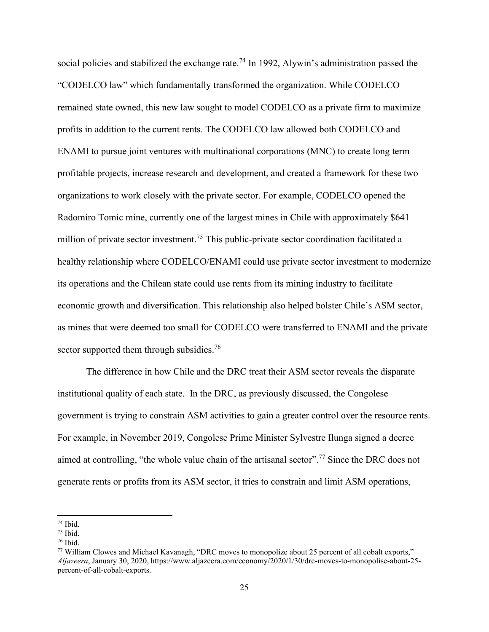social policies and stabilized the exchange rate.<sup>74</sup> In 1992, Alywin's administration passed the "CODELCO law" which fundamentally transformed the organization. While CODELCO remained state owned, this new law sought to model CODELCO as a private firm to maximize profits in addition to the current rents. The CODELCO law allowed both CODELCO and ENAMI to pursue joint ventures with multinational corporations (MNC) to create long term profitable projects, increase research and development, and created a framework for these two organizations to work closely with the private sector. For example, CODELCO opened the Radomiro Tomic mine, currently one of the largest mines in Chile with approximately \$641 million of private sector investment.<sup>75</sup> This public-private sector coordination facilitated a healthy relationship where CODELCO/ENAMI could use private sector investment to modernize its operations and the Chilean state could use rents from its mining industry to facilitate economic growth and diversification. This relationship also helped bolster Chile's ASM sector, as mines that were deemed too small for CODELCO were transferred to ENAMI and the private sector supported them through subsidies.<sup>76</sup>

The difference in how Chile and the DRC treat their ASM sector reveals the disparate institutional quality of each state. In the DRC, as previously discussed, the Congolese government is trying to constrain ASM activities to gain a greater control over the resource rents. For example, in November 2019, Congolese Prime Minister Sylvestre Ilunga signed a decree aimed at controlling, "the whole value chain of the artisanal sector".<sup>77</sup> Since the DRC does not generate rents or profits from its ASM sector, it tries to constrain and limit ASM operations,

<sup>74</sup> Ibid.

 $75$  Ibid.

 $76$  Ibid.

<sup>77</sup> William Clowes and Michael Kavanagh, "DRC moves to monopolize about 25 percent of all cobalt exports," *Aljazeera*, January 30, 2020, https://www.aljazeera.com/economy/2020/1/30/drc-moves-to-monopolise-about-25 percent-of-all-cobalt-exports.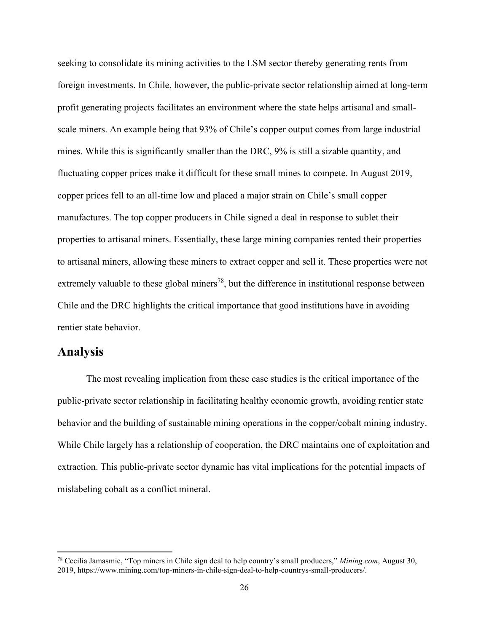seeking to consolidate its mining activities to the LSM sector thereby generating rents from foreign investments. In Chile, however, the public-private sector relationship aimed at long-term profit generating projects facilitates an environment where the state helps artisanal and smallscale miners. An example being that 93% of Chile's copper output comes from large industrial mines. While this is significantly smaller than the DRC, 9% is still a sizable quantity, and fluctuating copper prices make it difficult for these small mines to compete. In August 2019, copper prices fell to an all-time low and placed a major strain on Chile's small copper manufactures. The top copper producers in Chile signed a deal in response to sublet their properties to artisanal miners. Essentially, these large mining companies rented their properties to artisanal miners, allowing these miners to extract copper and sell it. These properties were not extremely valuable to these global miners<sup>78</sup>, but the difference in institutional response between Chile and the DRC highlights the critical importance that good institutions have in avoiding rentier state behavior.

## **Analysis**

The most revealing implication from these case studies is the critical importance of the public-private sector relationship in facilitating healthy economic growth, avoiding rentier state behavior and the building of sustainable mining operations in the copper/cobalt mining industry. While Chile largely has a relationship of cooperation, the DRC maintains one of exploitation and extraction. This public-private sector dynamic has vital implications for the potential impacts of mislabeling cobalt as a conflict mineral.

<sup>78</sup> Cecilia Jamasmie, "Top miners in Chile sign deal to help country's small producers," *Mining.com*, August 30, 2019, https://www.mining.com/top-miners-in-chile-sign-deal-to-help-countrys-small-producers/.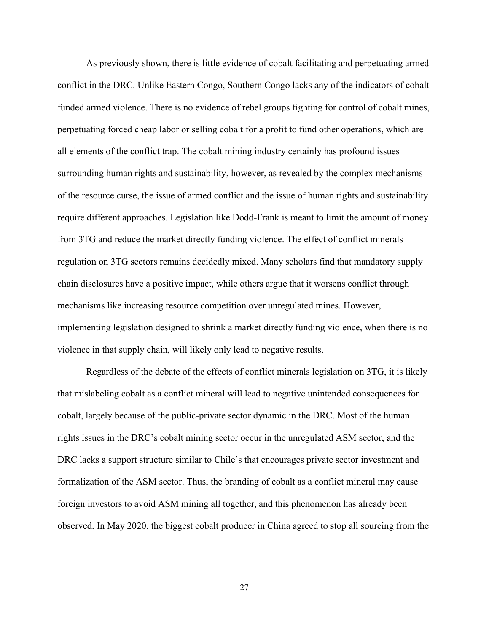As previously shown, there is little evidence of cobalt facilitating and perpetuating armed conflict in the DRC. Unlike Eastern Congo, Southern Congo lacks any of the indicators of cobalt funded armed violence. There is no evidence of rebel groups fighting for control of cobalt mines, perpetuating forced cheap labor or selling cobalt for a profit to fund other operations, which are all elements of the conflict trap. The cobalt mining industry certainly has profound issues surrounding human rights and sustainability, however, as revealed by the complex mechanisms of the resource curse, the issue of armed conflict and the issue of human rights and sustainability require different approaches. Legislation like Dodd-Frank is meant to limit the amount of money from 3TG and reduce the market directly funding violence. The effect of conflict minerals regulation on 3TG sectors remains decidedly mixed. Many scholars find that mandatory supply chain disclosures have a positive impact, while others argue that it worsens conflict through mechanisms like increasing resource competition over unregulated mines. However, implementing legislation designed to shrink a market directly funding violence, when there is no violence in that supply chain, will likely only lead to negative results.

Regardless of the debate of the effects of conflict minerals legislation on 3TG, it is likely that mislabeling cobalt as a conflict mineral will lead to negative unintended consequences for cobalt, largely because of the public-private sector dynamic in the DRC. Most of the human rights issues in the DRC's cobalt mining sector occur in the unregulated ASM sector, and the DRC lacks a support structure similar to Chile's that encourages private sector investment and formalization of the ASM sector. Thus, the branding of cobalt as a conflict mineral may cause foreign investors to avoid ASM mining all together, and this phenomenon has already been observed. In May 2020, the biggest cobalt producer in China agreed to stop all sourcing from the

27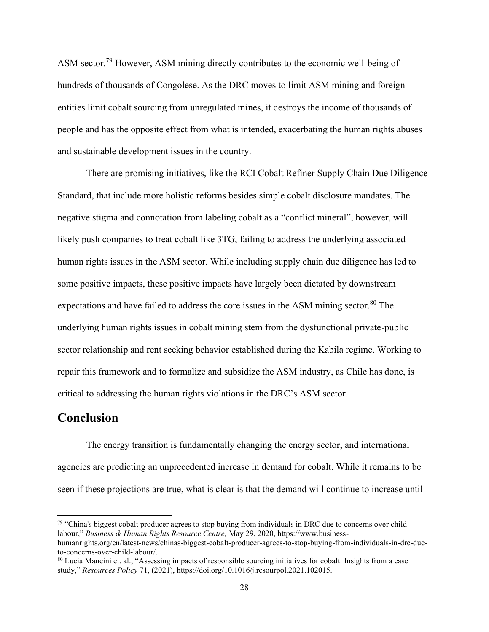ASM sector.<sup>79</sup> However, ASM mining directly contributes to the economic well-being of hundreds of thousands of Congolese. As the DRC moves to limit ASM mining and foreign entities limit cobalt sourcing from unregulated mines, it destroys the income of thousands of people and has the opposite effect from what is intended, exacerbating the human rights abuses and sustainable development issues in the country.

There are promising initiatives, like the RCI Cobalt Refiner Supply Chain Due Diligence Standard, that include more holistic reforms besides simple cobalt disclosure mandates. The negative stigma and connotation from labeling cobalt as a "conflict mineral", however, will likely push companies to treat cobalt like 3TG, failing to address the underlying associated human rights issues in the ASM sector. While including supply chain due diligence has led to some positive impacts, these positive impacts have largely been dictated by downstream expectations and have failed to address the core issues in the ASM mining sector.<sup>80</sup> The underlying human rights issues in cobalt mining stem from the dysfunctional private-public sector relationship and rent seeking behavior established during the Kabila regime. Working to repair this framework and to formalize and subsidize the ASM industry, as Chile has done, is critical to addressing the human rights violations in the DRC's ASM sector.

## **Conclusion**

The energy transition is fundamentally changing the energy sector, and international agencies are predicting an unprecedented increase in demand for cobalt. While it remains to be seen if these projections are true, what is clear is that the demand will continue to increase until

<sup>&</sup>lt;sup>79</sup> "China's biggest cobalt producer agrees to stop buying from individuals in DRC due to concerns over child labour," *Business & Human Rights Resource Centre,* May 29, 2020, https://www.businesshumanrights.org/en/latest-news/chinas-biggest-cobalt-producer-agrees-to-stop-buying-from-individuals-in-drc-due-

to-concerns-over-child-labour/.

<sup>80</sup> Lucia Mancini et. al., "Assessing impacts of responsible sourcing initiatives for cobalt: Insights from a case study," *Resources Policy* 71, (2021), https://doi.org/10.1016/j.resourpol.2021.102015.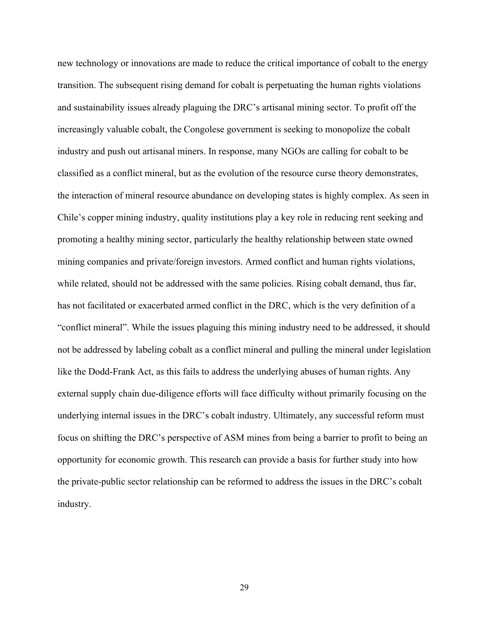new technology or innovations are made to reduce the critical importance of cobalt to the energy transition. The subsequent rising demand for cobalt is perpetuating the human rights violations and sustainability issues already plaguing the DRC's artisanal mining sector. To profit off the increasingly valuable cobalt, the Congolese government is seeking to monopolize the cobalt industry and push out artisanal miners. In response, many NGOs are calling for cobalt to be classified as a conflict mineral, but as the evolution of the resource curse theory demonstrates, the interaction of mineral resource abundance on developing states is highly complex. As seen in Chile's copper mining industry, quality institutions play a key role in reducing rent seeking and promoting a healthy mining sector, particularly the healthy relationship between state owned mining companies and private/foreign investors. Armed conflict and human rights violations, while related, should not be addressed with the same policies. Rising cobalt demand, thus far, has not facilitated or exacerbated armed conflict in the DRC, which is the very definition of a "conflict mineral". While the issues plaguing this mining industry need to be addressed, it should not be addressed by labeling cobalt as a conflict mineral and pulling the mineral under legislation like the Dodd-Frank Act, as this fails to address the underlying abuses of human rights. Any external supply chain due-diligence efforts will face difficulty without primarily focusing on the underlying internal issues in the DRC's cobalt industry. Ultimately, any successful reform must focus on shifting the DRC's perspective of ASM mines from being a barrier to profit to being an opportunity for economic growth. This research can provide a basis for further study into how the private-public sector relationship can be reformed to address the issues in the DRC's cobalt industry.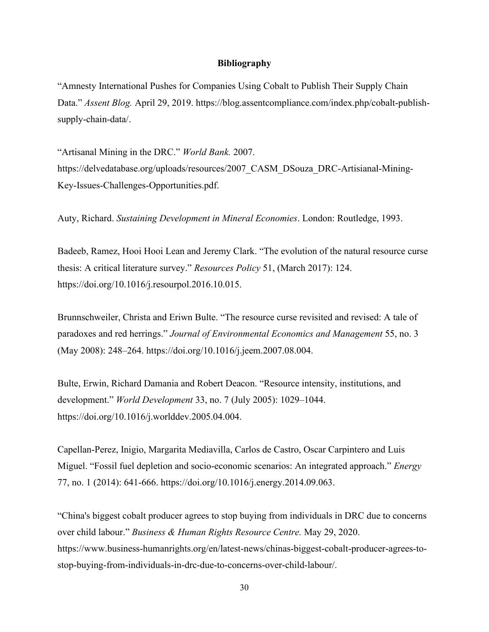#### **Bibliography**

"Amnesty International Pushes for Companies Using Cobalt to Publish Their Supply Chain Data." *Assent Blog.* April 29, 2019. https://blog.assentcompliance.com/index.php/cobalt-publishsupply-chain-data/.

"Artisanal Mining in the DRC." *World Bank.* 2007. https://delvedatabase.org/uploads/resources/2007\_CASM\_DSouza\_DRC-Artisianal-Mining-Key-Issues-Challenges-Opportunities.pdf.

Auty, Richard. *Sustaining Development in Mineral Economies*. London: Routledge, 1993.

Badeeb, Ramez, Hooi Hooi Lean and Jeremy Clark. "The evolution of the natural resource curse thesis: A critical literature survey." *Resources Policy* 51, (March 2017): 124. https://doi.org/10.1016/j.resourpol.2016.10.015.

Brunnschweiler, Christa and Eriwn Bulte. "The resource curse revisited and revised: A tale of paradoxes and red herrings." *Journal of Environmental Economics and Management* 55, no. 3 (May 2008): 248–264. https://doi.org/10.1016/j.jeem.2007.08.004.

Bulte, Erwin, Richard Damania and Robert Deacon. "Resource intensity, institutions, and development." *World Development* 33, no. 7 (July 2005): 1029–1044. https://doi.org/10.1016/j.worlddev.2005.04.004.

Capellan-Perez, Inigio, Margarita Mediavilla, Carlos de Castro, Oscar Carpintero and Luis Miguel. "Fossil fuel depletion and socio-economic scenarios: An integrated approach." *Energy* 77, no. 1 (2014): 641-666. https://doi.org/10.1016/j.energy.2014.09.063.

"China's biggest cobalt producer agrees to stop buying from individuals in DRC due to concerns over child labour." *Business & Human Rights Resource Centre.* May 29, 2020. https://www.business-humanrights.org/en/latest-news/chinas-biggest-cobalt-producer-agrees-tostop-buying-from-individuals-in-drc-due-to-concerns-over-child-labour/.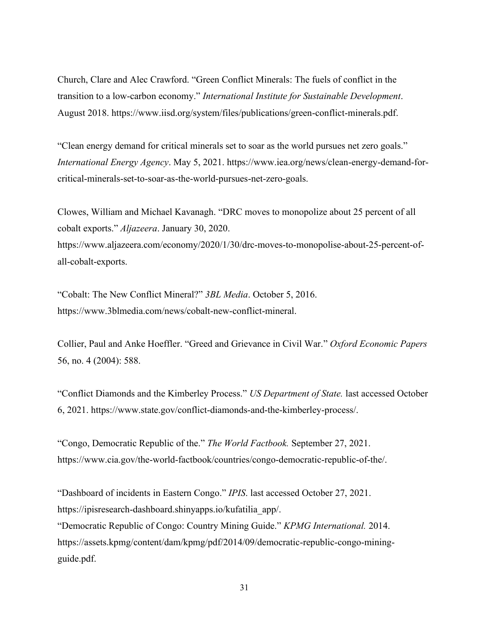Church, Clare and Alec Crawford. "Green Conflict Minerals: The fuels of conflict in the transition to a low-carbon economy." *International Institute for Sustainable Development*. August 2018. https://www.iisd.org/system/files/publications/green-conflict-minerals.pdf.

"Clean energy demand for critical minerals set to soar as the world pursues net zero goals." *International Energy Agency*. May 5, 2021. https://www.iea.org/news/clean-energy-demand-forcritical-minerals-set-to-soar-as-the-world-pursues-net-zero-goals.

Clowes, William and Michael Kavanagh. "DRC moves to monopolize about 25 percent of all cobalt exports." *Aljazeera*. January 30, 2020. https://www.aljazeera.com/economy/2020/1/30/drc-moves-to-monopolise-about-25-percent-ofall-cobalt-exports.

"Cobalt: The New Conflict Mineral?" *3BL Media*. October 5, 2016. https://www.3blmedia.com/news/cobalt-new-conflict-mineral.

Collier, Paul and Anke Hoeffler. "Greed and Grievance in Civil War." *Oxford Economic Papers* 56, no. 4 (2004): 588.

"Conflict Diamonds and the Kimberley Process." *US Department of State.* last accessed October 6, 2021. https://www.state.gov/conflict-diamonds-and-the-kimberley-process/.

"Congo, Democratic Republic of the." *The World Factbook.* September 27, 2021. https://www.cia.gov/the-world-factbook/countries/congo-democratic-republic-of-the/.

"Dashboard of incidents in Eastern Congo." *IPIS*. last accessed October 27, 2021. https://ipisresearch-dashboard.shinyapps.io/kufatilia\_app/.

"Democratic Republic of Congo: Country Mining Guide." *KPMG International.* 2014. https://assets.kpmg/content/dam/kpmg/pdf/2014/09/democratic-republic-congo-miningguide.pdf.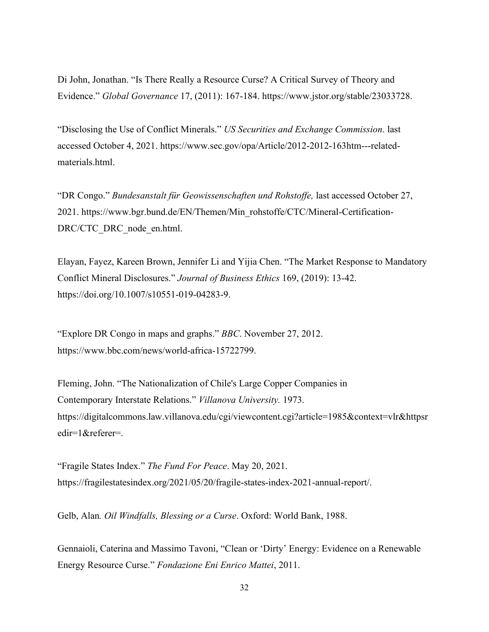Di John, Jonathan. "Is There Really a Resource Curse? A Critical Survey of Theory and Evidence." *Global Governance* 17, (2011): 167-184. https://www.jstor.org/stable/23033728.

"Disclosing the Use of Conflict Minerals." *US Securities and Exchange Commission*. last accessed October 4, 2021. https://www.sec.gov/opa/Article/2012-2012-163htm---relatedmaterials.html.

"DR Congo." *Bundesanstalt für Geowissenschaften und Rohstoffe,* last accessed October 27, 2021. https://www.bgr.bund.de/EN/Themen/Min\_rohstoffe/CTC/Mineral-Certification-DRC/CTC\_DRC\_node\_en.html.

Elayan, Fayez, Kareen Brown, Jennifer Li and Yijia Chen. "The Market Response to Mandatory Conflict Mineral Disclosures." *Journal of Business Ethics* 169, (2019): 13-42. https://doi.org/10.1007/s10551-019-04283-9.

"Explore DR Congo in maps and graphs." *BBC*. November 27, 2012. https://www.bbc.com/news/world-africa-15722799.

Fleming, John. "The Nationalization of Chile's Large Copper Companies in Contemporary Interstate Relations." *Villanova University.* 1973. https://digitalcommons.law.villanova.edu/cgi/viewcontent.cgi?article=1985&context=vlr&httpsr edir=1&referer=.

"Fragile States Index." *The Fund For Peace*. May 20, 2021. https://fragilestatesindex.org/2021/05/20/fragile-states-index-2021-annual-report/.

Gelb, Alan*. Oil Windfalls, Blessing or a Curse*. Oxford: World Bank, 1988.

Gennaioli, Caterina and Massimo Tavoni, "Clean or 'Dirty' Energy: Evidence on a Renewable Energy Resource Curse." *Fondazione Eni Enrico Mattei*, 2011.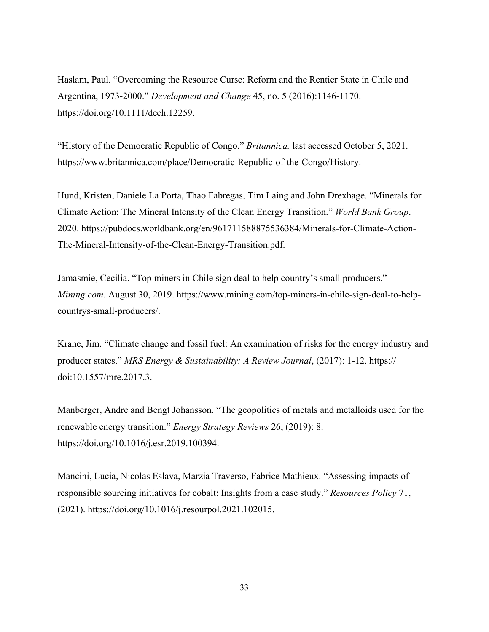Haslam, Paul. "Overcoming the Resource Curse: Reform and the Rentier State in Chile and Argentina, 1973-2000." *Development and Change* 45, no. 5 (2016):1146-1170. https://doi.org/10.1111/dech.12259.

"History of the Democratic Republic of Congo." *Britannica.* last accessed October 5, 2021. https://www.britannica.com/place/Democratic-Republic-of-the-Congo/History.

Hund, Kristen, Daniele La Porta, Thao Fabregas, Tim Laing and John Drexhage. "Minerals for Climate Action: The Mineral Intensity of the Clean Energy Transition." *World Bank Group*. 2020. https://pubdocs.worldbank.org/en/961711588875536384/Minerals-for-Climate-Action-The-Mineral-Intensity-of-the-Clean-Energy-Transition.pdf.

Jamasmie, Cecilia. "Top miners in Chile sign deal to help country's small producers." *Mining.com*. August 30, 2019. https://www.mining.com/top-miners-in-chile-sign-deal-to-helpcountrys-small-producers/.

Krane, Jim. "Climate change and fossil fuel: An examination of risks for the energy industry and producer states." *MRS Energy & Sustainability: A Review Journal*, (2017): 1-12. https:// doi:10.1557/mre.2017.3.

Manberger, Andre and Bengt Johansson. "The geopolitics of metals and metalloids used for the renewable energy transition." *Energy Strategy Reviews* 26, (2019): 8. https://doi.org/10.1016/j.esr.2019.100394.

Mancini, Lucia, Nicolas Eslava, Marzia Traverso, Fabrice Mathieux. "Assessing impacts of responsible sourcing initiatives for cobalt: Insights from a case study." *Resources Policy* 71, (2021). https://doi.org/10.1016/j.resourpol.2021.102015.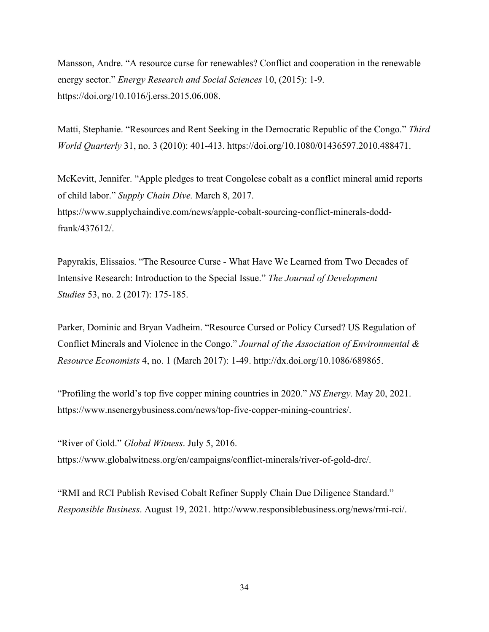Mansson, Andre. "A resource curse for renewables? Conflict and cooperation in the renewable energy sector." *Energy Research and Social Sciences* 10, (2015): 1-9. https://doi.org/10.1016/j.erss.2015.06.008.

Matti, Stephanie. "Resources and Rent Seeking in the Democratic Republic of the Congo." *Third World Quarterly* 31, no. 3 (2010): 401-413. https://doi.org/10.1080/01436597.2010.488471.

McKevitt, Jennifer. "Apple pledges to treat Congolese cobalt as a conflict mineral amid reports of child labor." *Supply Chain Dive.* March 8, 2017. https://www.supplychaindive.com/news/apple-cobalt-sourcing-conflict-minerals-doddfrank/437612/.

Papyrakis, Elissaios. "The Resource Curse - What Have We Learned from Two Decades of Intensive Research: Introduction to the Special Issue." *The Journal of Development Studies* 53, no. 2 (2017): 175-185.

Parker, Dominic and Bryan Vadheim. "Resource Cursed or Policy Cursed? US Regulation of Conflict Minerals and Violence in the Congo." *Journal of the Association of Environmental & Resource Economists* 4, no. 1 (March 2017): 1-49. http://dx.doi.org/10.1086/689865.

"Profiling the world's top five copper mining countries in 2020." *NS Energy.* May 20, 2021. https://www.nsenergybusiness.com/news/top-five-copper-mining-countries/.

"River of Gold." *Global Witness*. July 5, 2016. https://www.globalwitness.org/en/campaigns/conflict-minerals/river-of-gold-drc/.

"RMI and RCI Publish Revised Cobalt Refiner Supply Chain Due Diligence Standard." *Responsible Business*. August 19, 2021. http://www.responsiblebusiness.org/news/rmi-rci/.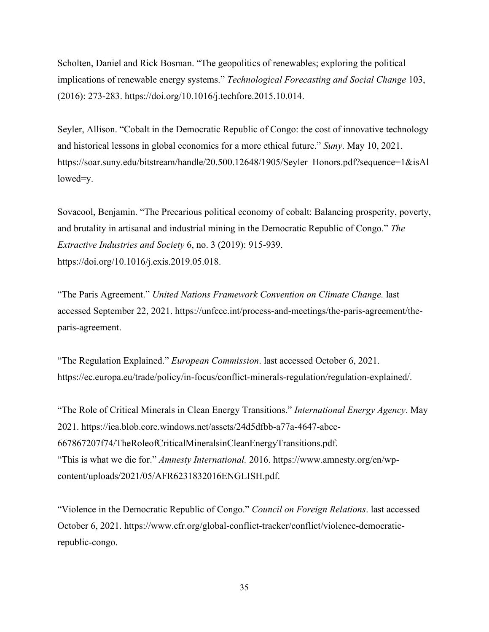Scholten, Daniel and Rick Bosman. "The geopolitics of renewables; exploring the political implications of renewable energy systems." *Technological Forecasting and Social Change* 103, (2016): 273-283. https://doi.org/10.1016/j.techfore.2015.10.014.

Seyler, Allison. "Cobalt in the Democratic Republic of Congo: the cost of innovative technology and historical lessons in global economics for a more ethical future." *Suny*. May 10, 2021. https://soar.suny.edu/bitstream/handle/20.500.12648/1905/Seyler\_Honors.pdf?sequence=1&isAl\_ lowed=y.

Sovacool, Benjamin. "The Precarious political economy of cobalt: Balancing prosperity, poverty, and brutality in artisanal and industrial mining in the Democratic Republic of Congo." *The Extractive Industries and Society* 6, no. 3 (2019): 915-939. https://doi.org/10.1016/j.exis.2019.05.018.

"The Paris Agreement." *United Nations Framework Convention on Climate Change.* last accessed September 22, 2021. https://unfccc.int/process-and-meetings/the-paris-agreement/theparis-agreement.

"The Regulation Explained." *European Commission*. last accessed October 6, 2021. https://ec.europa.eu/trade/policy/in-focus/conflict-minerals-regulation/regulation-explained/.

"The Role of Critical Minerals in Clean Energy Transitions." *International Energy Agency*. May 2021. https://iea.blob.core.windows.net/assets/24d5dfbb-a77a-4647-abcc-667867207f74/TheRoleofCriticalMineralsinCleanEnergyTransitions.pdf. "This is what we die for." *Amnesty International.* 2016. https://www.amnesty.org/en/wpcontent/uploads/2021/05/AFR6231832016ENGLISH.pdf.

"Violence in the Democratic Republic of Congo." *Council on Foreign Relations*. last accessed October 6, 2021. https://www.cfr.org/global-conflict-tracker/conflict/violence-democraticrepublic-congo.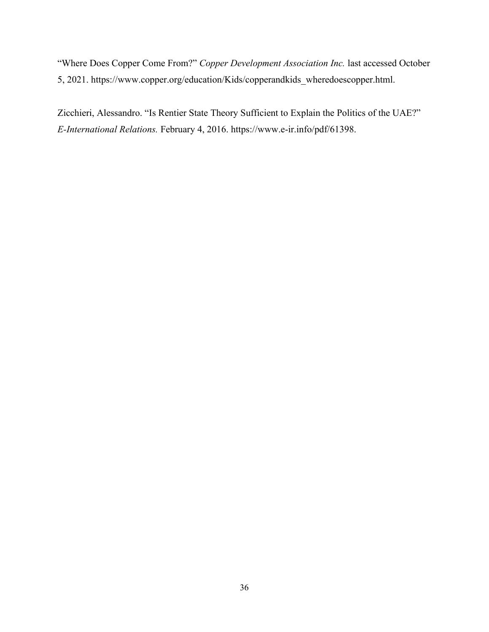"Where Does Copper Come From?" *Copper Development Association Inc.* last accessed October 5, 2021. https://www.copper.org/education/Kids/copperandkids\_wheredoescopper.html.

Zicchieri, Alessandro. "Is Rentier State Theory Sufficient to Explain the Politics of the UAE?" *E-International Relations.* February 4, 2016. https://www.e-ir.info/pdf/61398.